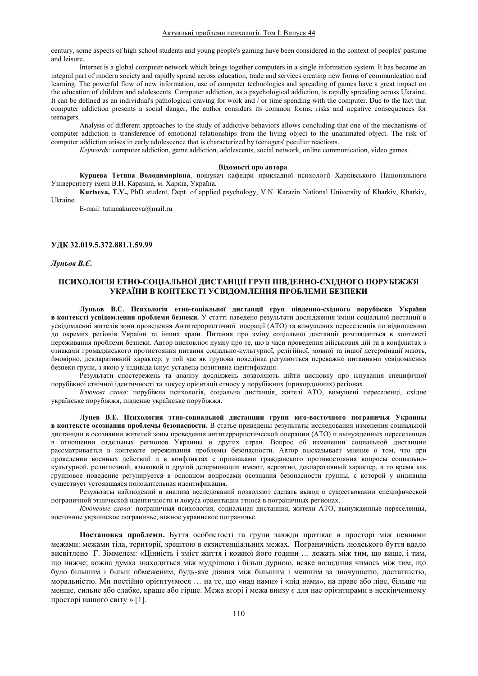century, some aspects of high school students and young people's gaming have been considered in the context of peoples' pastime and leisure.

Internet is a global computer network which brings together computers in a single information system. It has became an integral part of modern society and rapidly spread across education, trade and services creating new forms of communication and learning. The powerful flow of new information, use of computer technologies and spreading of games have a great impact on the education of children and adolescents. Computer addiction, as a psychological addiction, is rapidly spreading across Ukraine. It can be defined as an individual's pathological craving for work and / or time spending with the computer. Due to the fact that computer addiction presents a social danger, the author considers its common forms, risks and negative consequences for teenagers.

Analysis of different approaches to the study of addictive behaviors allows concluding that one of the mechanisms of computer addiction is transference of emotional relationships from the living object to the unanimated object. The risk of computer addiction arises in early adolescence that is characterized by teenagers' peculiar reactions.

*Keywords:* computer addiction, game addiction, adolescents, social network, online communication, video games.

### **Відомості про автора**

Курцева Тетяна Володимирівна, пошукач кафедри прикладної психології Харківського Національного Університету імені В.Н. Каразіна, м. Харків, Україна.

**Kurtseva, T.V.,** PhD student, Dept. of applied psychology, V.N. Karazin National University of Kharkiv, Kharkiv, Ukraine.

E-mail: tatianakurceva@mail.ru

### **ɍȾɄ.372.881.1.59.99**

*Ʌɭɧɶɨɜȼȯ*

# **ɉɋɂɏɈɅɈȽȱəȿɌɇɈ-ɋɈɐȱȺɅɖɇɈȲȾɂɋɌȺɇɐȱȲȽɊɍɉɉȱȼȾȿɇɇɈ-ɋɏȱȾɇɈȽɈɉɈɊɍȻȱɀɀə** УКРАЇНИ В КОНТЕКСТІ УСВІЛОМЛЕННЯ ПРОБЛЕМИ БЕЗПЕКИ

Луньов В.Є. Психологія етно-соціальної дистанції груп південно-східного порубіжжя України **в контексті усвідомлення проблеми безпеки.** У статті наведено результати дослідження зміни соціальної дистанції в усвідомленні жителів зони проведення Антитерористичної операції (АТО) та вимушених переселенців по відношенню до окремих регіонів України та інших країн. Питання про зміну соціальної дистанції розглядається в контексті переживання проблеми безпеки. Автор висловлює думку про те, що в часи проведення військових дій та в конфліктах з ознаками громадянського протистояння питання соціально-культурної, релігійної, мовної та іншої детермінації мають, ймовірно, декларативний характер, у той час як групова поведінка регулюється переважно питаннями усвідомлення безпеки групи, з якою у індивіда існує усталена позитивна ідентифікація.

Результати спостережень та аналізу досліджень дозволяють дійти висновку про існування специфічної порубіжної етнічної ідентичності та локусу орієнтації етносу у порубіжних (прикордонних) регіонах.

Ключові слова: порубіжна психологія, соціальна дистанція, жителі АТО, вимушені переселенці, східне українське порубіжжя, південне українське порубіжжя.

**Лунев В.Е. Психология этно-социальной листанции групп юго-восточного пограничья Украины в контексте осознания проблемы безопасности. В статье приведены результаты исследования изменения социальной** дистанции в осознании жителей зоны проведения антитеррористической операции (АТО) и вынужденных переселенцев в отношении отдельных регионов Украины и других стран. Вопрос об изменении социальной дистанции рассматривается в контексте переживания проблемы безопасности. Автор высказывает мнение о том, что при проведении военных действий и в конфликтах с признаками гражданского противостояния вопросы социальнокультурной, религиозной, языковой и другой детерминации имеют, вероятно, декларативный характер, в то время как групповое поведение регулируется в основном вопросами осознания безопасности группы, с которой у индивида существует устоявшаяся положительная идентификация.

Результаты наблюдений и анализа исследований позволяют сделать вывод о существовании специфической пограничной этнической идентичности и локуса ориентации этноса в пограничных регионах.

Ключевые слова: пограничная психология, социальная дистанция, жители АТО, вынужденные переселенцы, восточное украинское пограничье, южное украинское пограничье.

Постановка проблеми. Буття особистості та групи завжди протікає в просторі між певними межами: межами тіла, території, зрештою в екзистенціальних межах. Пограничність людського буття вдало висвітлено Г. Зіммелем: «Цінність і зміст життя і кожної його години ... лежать між тим, що вище, і тим, що нижче; кожна думка знаходиться між мудрішою і більш дурною, всяке володіння чимось між тим, що було більшим і більш обмеженим, будь-яке діяння між більшим і меншим за значущістю, достатністю, моральністю. Ми постійно орієнтуємося ... на те, що «над нами» і «під нами», на праве або ліве, більше чи менше, сильне або слабке, краще або гірше. Межа вгорі і межа внизу є для нас орієнтирами в нескінченному просторі нашого світу » [1].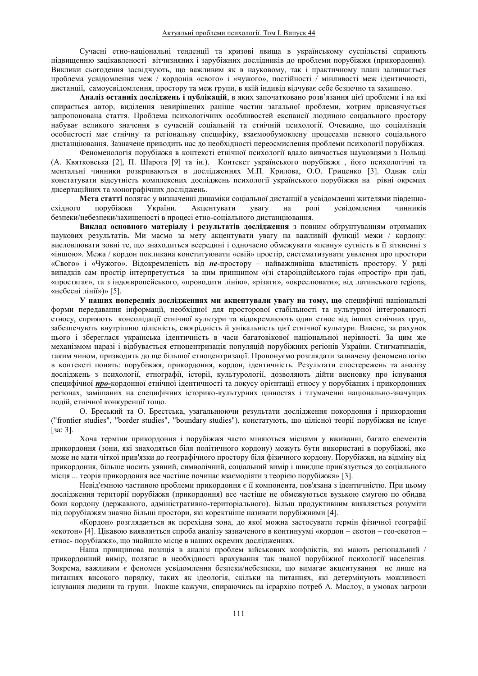Сучасні етно-національні тенденції та кризові явища в українському суспільстві сприяють підвищенню зацікавленості вітчизняних і зарубіжних дослідників до проблеми порубіжжя (прикордоння). Виклики сьогодення засвідчують, що важливим як в науковому, так і практичному плані залишається проблема усвідомлення меж / кордонів «свого» і «чужого», постійності / мінливості меж ідентичності, дистанції, самоусвідомлення, простору та меж групи, в якій індивід відчуває себе безпечно та захищено.

Аналіз останніх досліджень і публікацій, в яких започатковано розв'язання цієї проблеми і на які спирається автор, виділення невирішених раніше частин загальної проблеми, котрим присвячується запропонована стаття. Проблема психологічних особливостей експансії людиною соціального простору набуває великого значення в сучасній соціальній та етнічній психології. Очевидно, що соціалізація особистості має етнічну та регіональну специфіку, взаємообумовлену процесами певного соціального дистанціювання. Зазначене приводить нас до необхідності переосмислення проблеми психології порубіжжя.

Феноменологія порубіжжя в контексті етнічної психології вдало вивчається науковцями з Польщі (А. Квятковська [2], П. Шарота [9] та ін.). Контекст українського порубіжжя, його психологічні та ментальні чинники розкриваються в дослідженнях М.П. Крилова, О.О. Гриценко [3]. Однак слід констатувати відсутність комплексних досліджень психології українського порубіжжя на рівні окремих дисертаційних та монографічних досліджень.

**Мета статті** полягає у визначенні динаміки соціальної дистанції в усвідомленні жителями південно-<br>разначав у тавив у стаїни.<br>Сицентувати частання у вагу на ролі усвідомлення чинників східного порубіжжя України. Акцентувати увагу на ролі усвідомлення чинників безпеки/небезпеки/захищеності в процесі етно-соціального дистанціювання.

Виклад основного матеріалу і результатів дослідження з повним обґрунтуванням отриманих наукових результатів. Ми маємо за мету акцентувати увагу на важливій функції межи / кордону: висловлювати зовні те, що знаходиться всередині і одночасно обмежувати «певну» сутність в її зіткненні з «іншою». Межа / кордон покликана конституювати «свій» простір, систематизувати уявлення про простори «Свого» і «Чужого». Відокремленість від не-простору – найважливіша властивість простору. У ряді випадків сам простір інтерпретується за цим принципом «(зі староіндійського rajas «простір» при rjati, «простягає», та з індоєвропейського, «проводити лінію», «різати», «окреслювати»; від латинського regions, «небесні лінії»)» [5].

У наших попередніх дослідженнях ми акцентували увагу на тому, що специфічні національні форми передавання інформації, необхідної для просторової стабільності та культурної інтегрованості етносу, сприяють консолідації етнічної культури та відокремлюють один етнос від інших етнічних груп, забезпечують внутрішню цілісність, своєрідність й унікальність цієї етнічної культури. Власне, за рахунок цього і збереглася українська ідентичність в часи багатовікової національної нерівності. За цим же механізмом наразі і відбувається етноцентризація популяцій порубіжних регіонів України. Стигматизація, таким чином, призводить до ще більшої етноцентризації. Пропонуємо розглядати зазначену феноменологію в контексті понять: порубіжжя, прикордоння, кордон, ідентичність. Результати спостережень та аналізу досліджень з психології, етнографії, історії, культурології, дозволяють дійти висновку про існування специфічної *про*-кордонної етнічної ідентичності та локусу орієнтації етносу у порубіжних і прикордонних регіонах, замішаних на специфічних історико-культурних цінностях і тлумаченні національно-значущих подій, етнічної конкуренції тощо.

О. Бреський та О. Брестська, узагальнюючи результати дослідження покордоння і прикордоння ("frontier studies", "border studies", "boundary studies"), констатують, що цілісної теорії порубіжжя не існує  $[sa: 3]$ .

Хоча терміни прикордоння і порубіжжя часто міняються місцями у вживанні, багато елементів прикордоння (зони, які знаходяться біля політичного кордону) можуть бути використані в порубіжжі, яке може не мати чіткої прив'язки до географічного простору біля фізичного кордону. Порубіжжя, на відміну від прикордоння, більше носить уявний, символічний, соціальний вимір і швидше прив'язується до соціального місця ... теорія прикордоння все частіше починає взаємодіяти з теорією порубіжжя» [3].

Невід'ємною частиною проблеми прикордоння є її компонента, пов'язана з ідентичністю. При цьому дослідження території порубіжжя (прикордоння) все частіше не обмежуються вузькою смугою по обидва боки кордону (державного, адміністративно-територіального). Більш продуктивним виявляється розуміти під порубіжжям значно більші простори, які коректніше називати порубіжними [4].

«Кордон» розглядається як перехідна зона, до якої можна застосувати термін фізичної географії «екотон» [4]. Цікавою виявляється спроба аналізу зазначеного в континуумі «кордон – екотон – гео-екотон – етнос- порубіжжя», що знайшло місце в наших окремих дослідженнях.

Наша принципова позиція в аналізі проблем військових конфліктів, які мають регіональний / прикордонний вимір, полягає в необхідності врахування так званої порубіжної психології населення. Зокрема, важливим є феномен усвідомлення безпеки/небезпеки, що вимагає акцентування не лише на питаннях високого порядку, таких як ідеологія, скільки на питаннях, які детермінують можливості існування людини та групи. Інакше кажучи, спираючись на ієрархію потреб А. Маслоу, в умовах загрози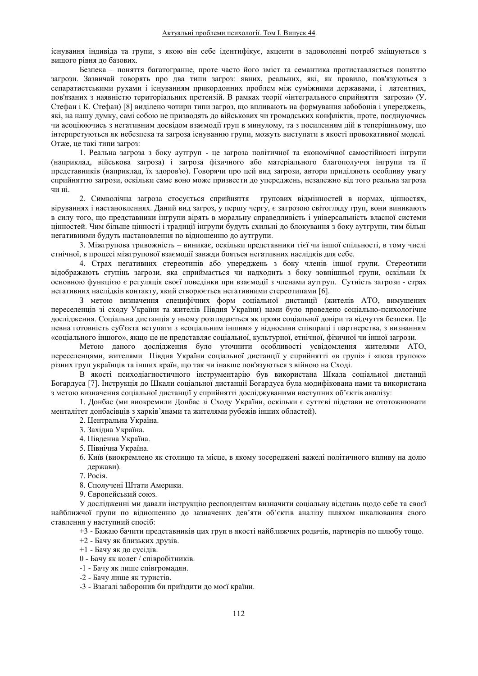існування індивіда та групи, з якою він себе ідентифікує, акценти в задоволенні потреб зміщуються з вищого рівня до базових.

Безпека - поняття багатогранне, проте часто його зміст та семантика протиставляється поняттю загрози. Зазвичай говорять про два типи загроз: явних, реальних, які, як правило, пов'язуються з сепаратистськими рухами і існуванням прикордонних проблем між суміжними державами, і латентних, пов'язаних з наявністю територіальних претензій. В рамках теорії «інтегрального сприйняття загрози» (У. Стефан і К. Стефан) [8] виділено чотири типи загроз, що впливають на формування забобонів і упереджень, які, на нашу думку, самі собою не призводять до військових чи громадських конфліктів, проте, поєднуючись чи асоціюючись з негативним досвідом взаємодії груп в минулому, та з посиленням дій в теперішньому, що інтерпретуються як небезпека та загроза існуванню групи, можуть виступати в якості провокативної моделі. Отже, це такі типи загроз:

1. Реальна загроза з боку аутгруп - це загроза політичної та економічної самостійності інгрупи (наприклад, військова загроза) і загроза фізичного або матеріального благополуччя інгрупи та її представників (наприклад, їх здоров'ю). Говорячи про цей вид загрози, автори приділяють особливу увагу сприйняттю загрози, оскільки саме воно може призвести до упереджень, незалежно від того реальна загроза чи ні

2. Символічна загроза стосується сприйняття групових відмінностей в нормах, цінностях, віруваннях і настановленнях. Даний вид загроз, у першу чергу, є загрозою світогляду груп, вони виникають ъ силу того, що представники інгрупи вірять в моральну справедливість і універсальність власної системи цінностей. Чим більше цінності і традиції інгрупи будуть схильні до блокування з боку аутгрупи, тим більш негативними будуть настановлення по відношенню до аутгрупи.

3. Міжгрупова тривожність - виникає, оскільки представники тієї чи іншої спільності, в тому числі етнічної, в процесі міжгрупової взаємодії завжди бояться негативних наслідків для себе.

4. Страх негативних стереотипів або упереджень з боку членів іншої групи. Стереотипи вілображають ступінь загрози, яка сприймається чи налхолить з боку зовнішньої групи, оскільки їх основною функцією є регуляція своєї поведінки при взаємодії з членами аутгруп. Сутність загрози - страх негативних наслідків контакту, який створюється негативними стереотипами [6].

З метою визначення специфічних форм соціальної дистанції (жителів АТО, вимушених переселенців зі сходу України та жителів Півдня України) нами було проведено соціально-психологічне дослідження. Соціальна дистанція у ньому розглядається як прояв соціальної довіри та відчуття безпеки. Це певна готовність суб'єкта вступати з «соціальним іншим» у відносини співпраці і партнерства, з визнанням «соціального іншого», якщо це не представляє соціальної, культурної, етнічної, фізичної чи іншої загрози.

Метою даного дослідження було уточнити особливості усвідомлення жителями АТО, переселенцями, жителями Півдня України соціальної дистанції у сприйнятті «в групі» і «поза групою» різних груп українців та інших країн, що так чи інакше пов'язуються з війною на Сході.

В якості психоліагностичного інструментарію був використана Шкала соціальної дистанції Богардуса [7]. Інструкція до Шкали соціальної листанції Богардуса була модифікована нами та використана з метою визначення соціальної дистанції у сприйнятті досліджуваними наступних об'єктів аналізу:

1. Донбас (ми виокремили Донбас зі Сходу України, оскільки є суттєві підстави не ототожнювати менталітет донбасівців з харків'янами та жителями рубежів інших областей).

- 2. Центральна Україна.
- 3. Західна Україна.
- 4. Південна Україна.
- 5. Північна Україна.
- 6. Київ (виокремлено як столицю та місце, в якому зосереджені важелі політичного впливу на долю держави).
- 7. Росія.
- 8. Сполучені Штати Америки.
- 9. Європейський союз.

У дослідженні ми давали інструкцію респондентам визначити соціальну відстань щодо себе та своєї найближчої групи по відношенню до зазначених дев'яти об'єктів аналізу шляхом шкалювання свого ставлення у наступний спосіб:

- $+3$  Бажаю бачити представників цих груп в якості найближчих родичів, партнерів по шлюбу тощо.
- +2 Бачу як близьких друзів.
- $+1$  Бачу як до сусілів.
- 0 Бачу як колег / співробітників.
- -1 Бачу як лише співгромадян.
- -2 Бачу лише як туристів.
- -3 Взагалі заборонив би приїздити до моєї країни.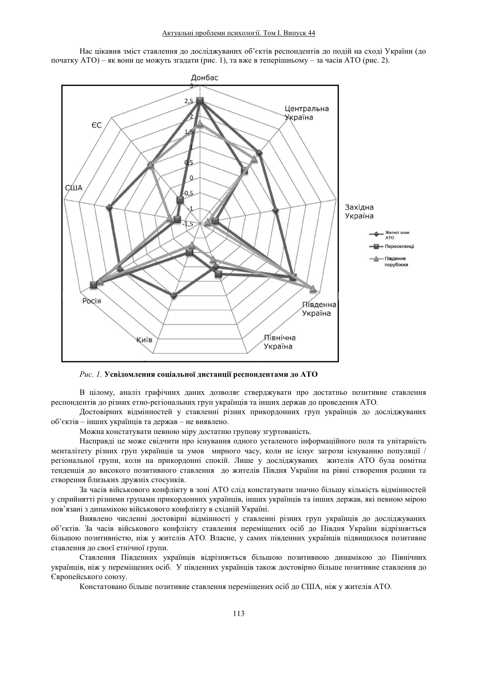Нас цікавив зміст ставлення до досліджуваних об'єктів респондентів до подій на сході України (до початку АТО) – як вони це можуть згадати (рис. 1), та вже в теперішньому – за часів АТО (рис. 2).



Рис. 1. Усвідомлення соціальної дистанції респондентами до АТО

В цілому, аналіз графічних даних дозволяє стверджувати про достатньо позитивне ставлення респондентів до різних етно-регіональних груп українців та інших держав до проведення АТО.

Достовірних відмінностей у ставленні різних прикордонних груп українців до досліджуваних  $66$ 'єктів – інших українців та держав – не виявлено.

Можна констатувати певною міру достатню групову згуртованість.

Насправді це може свідчити про існування одного усталеного інформаційного поля та унітарність менталітету різних груп українців за умов мирного часу, коли не існує загрози існуванню популяції / регіональної групи, коли на прикордонні спокій. Лише у досліджуваних жителів АТО була помітна тенденція до високого позитивного ставлення до жителів Півдня України на рівні створення родини та створення близьких дружніх стосунків.

За часів військового конфлікту в зоні АТО слід констатувати значно більшу кількість відмінностей у сприйнятті різними групами прикордонних українців, інших українців та інших держав, які певною мірою пов'язані з динамікою військового конфлікту в східній Україні.

Виявлено численні достовірні відмінності у ставленні різних груп українців до досліджуваних об'єктів. За часів військового конфлікту ставлення переміщених осіб до Півдня України відрізняється більшою позитивністю, ніж у жителів АТО. Власне, у самих південних українців підвищилося позитивне ставлення до своєї етнічної групи.

Ставлення Південних українців відрізняється більшою позитивною динамікою до Північних українців, ніж у переміщених осіб. У південних українців також достовірно більше позитивне ставлення до Свропейського союзу.

Констатовано більше позитивне ставлення переміщених осіб до США, ніж у жителів АТО.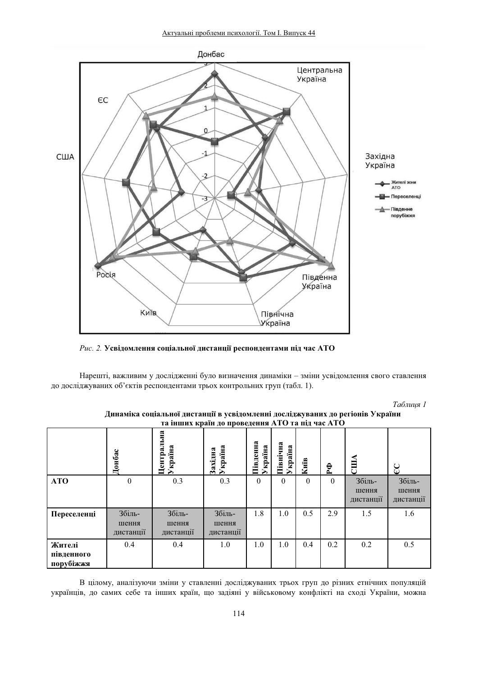

Рис. 2. Усвідомлення соціальної дистанції респондентами під час АТО

Нарешті, важливим у дослідженні було визначення динаміки - зміни усвідомлення свого ставлення до досліджуваних об'єктів респондентами трьох контрольних груп (табл. 1).

| Таблиця 1 |  |
|-----------|--|
|-----------|--|

| та інших країн до проведення АТО та під час АТО |                              |                              |                              |                     |                    |          |          |                              |                              |  |
|-------------------------------------------------|------------------------------|------------------------------|------------------------------|---------------------|--------------------|----------|----------|------------------------------|------------------------------|--|
|                                                 | Донбас                       | Центральна<br>Україна        | Україна<br>Західна           | Південна<br>Україна | Північна<br>країна | Kuïb     | P¢       | CIIIA                        | $\overline{C}$               |  |
| <b>ATO</b>                                      | 0                            | 0.3                          | 0.3                          | $\Omega$            | $\theta$           | $\Omega$ | $\theta$ | Збіль-<br>шення<br>дистанції | Збіль-<br>шення<br>дистанції |  |
| Переселенці                                     | Збіль-<br>шення<br>дистанції | Збіль-<br>шення<br>дистанції | Збіль-<br>шення<br>дистанції | 1.8                 | 1.0                | 0.5      | 2.9      | 1.5                          | 1.6                          |  |
| Жителі<br>південного<br>порубіжжя               | 0.4                          | 0.4                          | 1.0                          | 1.0                 | 1.0                | 0.4      | 0.2      | 0.2                          | 0.5                          |  |

Динаміка соціальної дистанції в усвідомленні досліджуваних до регіонів України

В цілому, аналізуючи зміни у ставленні досліджуваних трьох груп до різних етнічних популяцій українців, до самих себе та інших країн, що задіяні у військовому конфлікті на сході України, можна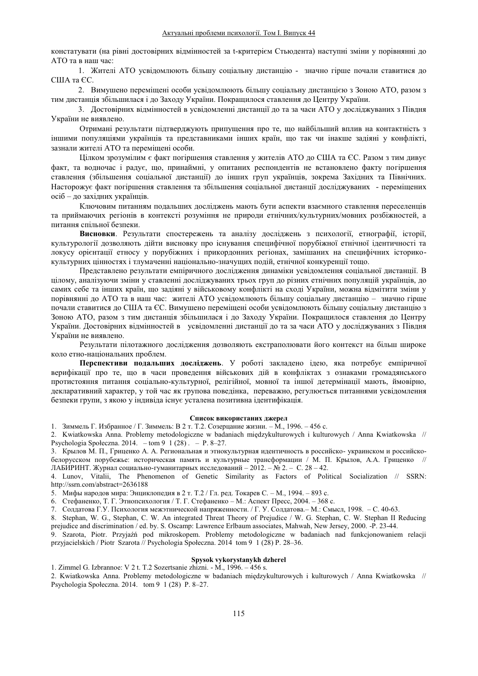констатувати (на рівні достовірних відмінностей за t-критерієм Стьюдента) наступні зміни у порівнянні до ATO та в наш час:

1. Жителі АТО усвідомлюють більшу соціальну дистанцію - значно гірше почали ставитися до США та ЄС.

2. Вимушено переміщені особи усвідомлюють більшу соціальну дистанцією з Зоною АТО, разом з тим дистанція збільшилася і до Заходу України. Покращилося ставлення до Центру України.

3. Достовірних відмінностей в усвідомленні дистанції до та за часи АТО у досліджуваних з Півдня України не виявлено.

Отримані результати підтверджують припущення про те, що найбільший вплив на контактність з іншими популяціями українців та представниками інших країн, що так чи інакше задіяні у конфлікті, зазнали жителі АТО та переміщені особи.

Цілком зрозумілим є факт погіршення ставлення у жителів АТО до США та ЄС. Разом з тим дивує факт, та водночас і радує, що, принаймні, у опитаних респондентів не встановлено факту погіршення ставлення (збільшення соціальної дистанції) до інших груп українців, зокрема Західних та Північних. Насторожує факт погіршення ставлення та збільшення соціальної дистанції досліджуваних - переміщених осіб - до західних українців.

Ключовим питанням подальших досліджень мають бути аспекти взаємного ставлення переселенців та приймаючих регіонів в контексті розуміння не природи етнічних/культурних/мовних розбіжностей, а питання спільної безпеки.

Висновки. Результати спостережень та аналізу досліджень з психології, етнографії, історії, культурології лозволяють лійти висновку про існування специфічної порубіжної етнічної ілентичності та локусу орієнтації етносу у порубіжних і прикордонних регіонах, замішаних на специфічних історикокультурних цінностях і тлумаченні національно-значущих подій, етнічної конкуренції тощо.

Представлено результати емпіричного дослідження динаміки усвідомлення соціальної дистанції. В цілому, аналізуючи зміни у ставленні досліджуваних трьох груп до різних етнічних популяцій українців, до самих себе та інших країн, що задіяні у військовому конфлікті на сході України, можна відмітити зміни у порівнянні до АТО та в наш час: жителі АТО усвідомлюють більшу соціальну дистанцію - значно гірше почали ставитися до США та ЄС. Вимушено переміщені особи усвідомлюють більшу соціальну дистанцію з Зоною АТО, разом з тим дистанція збільшилася і до Заходу України. Покращилося ставлення до Центру України. Достовірних відмінностей в усвідомленні дистанції до та за часи АТО у досліджуваних з Півдня України не виявлено.

Результати пілотажного дослідження дозволяють екстраполювати його контекст на більш широке коло етно-національних проблем.

Перспективи подальших досліджень. У роботі закладено ідею, яка потребує емпіричної верифікації про те, що в часи проведення військових дій в конфліктах з ознаками громадянського протистояння питання соціально-культурної, релігійної, мовної та іншої детермінації мають, ймовірно, декларативний характер, у той час як групова поведінка, переважно, регулюється питаннями усвідомлення безпеки групи, з якою у індивіда існує усталена позитивна ідентифікація.

### Список використаних джерел

1. Зиммель Г. Избранное / Г. Зиммель: В 2 т. Т.2. Созерцание жизни. - М., 1996. - 456 с.

2. Kwiatkowska Anna. Problemy metodologiczne w badaniach międzykulturowych i kulturowych / Anna Kwiatkowska // Psychologia Społeczna. 2014. – tom 9 1 (28) . – P. 8–27.

3. Крылов М. П., Гриценко А. А. Региональная и этнокультурная идентичность в российско- украинском и российскобелорусском порубежье: историческая память и культурные трансформации / М. П. Крылов, А.А. Гриценко // ЛАБИРИНТ. Журнал социально-гуманитарных исследований - 2012. - № 2. - С. 28 - 42.

4. Lunov, Vitalii, The Phenomenon of Genetic Similarity as Factors of Political Socialization // SSRN: http://ssrn.com/abstract=2636188

5. Мифы народов мира: Энциклопедия в 2 т. Т.2 / Гл. ред. Токарев С. – М., 1994. – 893 с.

6. Стефаненко, Т. Г. Этнопсихология / Т. Г. Стефаненко - М.: Аспект Пресс, 2004. - 368 с.

7. Солдатова Г.У. Психология межэтнической напряженности. / Г. У. Солдатова. - М.: Смысл, 1998. - С. 40-63.

8. Stephan, W. G., Stephan, C. W. An integrated Threat Theory of Prejudice / W. G. Stephan, C. W. Stephan II Reducing prejudice and discrimination / ed. by. S. Oscamp: Lawrence Erlbaum associates, Mahwah, New Jersey, 2000. -P. 23-44.

9. Szarota, Piotr. Przyjaźń pod mikroskopem. Problemy metodologiczne w badaniach nad funkcjonowaniem relacji przyjacielskich / Piotr Szarota // Psychologia Społeczna. 2014 tom 9 1 (28) P. 28–36.

## **Spysok vykorystanykh dzherel**

1. Zimmel G. Izbrannoe: V 2 t. T.2 Sozertsanie zhizni. - M.,  $1996. - 456$  s.

2. Kwiatkowska Anna. Problemy metodologiczne w badaniach międzykulturowych i kulturowych / Anna Kwiatkowska // Psychologia Społeczna. 2014. tom 9 1 (28) P. 8-27.